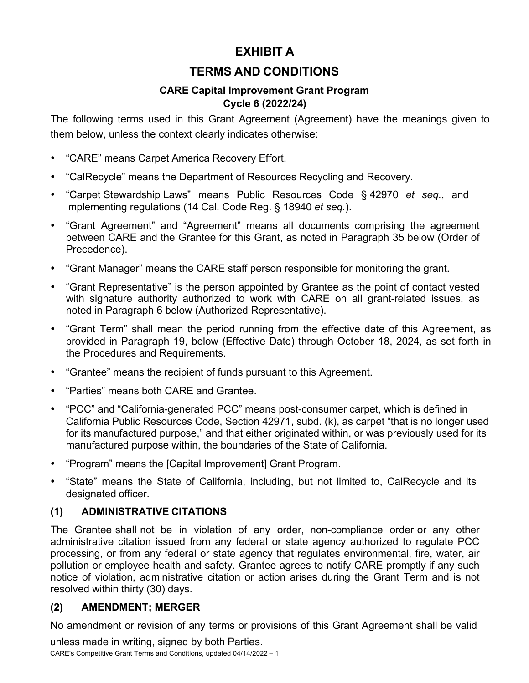# **EXHIBIT A**

# **TERMS AND CONDITIONS**

### **CARE Capital Improvement Grant Program Cycle 6 (2022/24)**

The following terms used in this Grant Agreement (Agreement) have the meanings given to them below, unless the context clearly indicates otherwise:

- "CARE" means Carpet America Recovery Effort.
- "CalRecycle" means the Department of Resources Recycling and Recovery.
- "Carpet Stewardship Laws" means Public Resources Code § 42970 *et seq.*, and implementing regulations (14 Cal. Code Reg. § 18940 *et seq.*).
- "Grant Agreement" and "Agreement" means all documents comprising the agreement between CARE and the Grantee for this Grant, as noted in Paragraph 35 below (Order of Precedence).
- "Grant Manager" means the CARE staff person responsible for monitoring the grant.
- "Grant Representative" is the person appointed by Grantee as the point of contact vested with signature authority authorized to work with CARE on all grant-related issues, as noted in Paragraph 6 below (Authorized Representative).
- "Grant Term" shall mean the period running from the effective date of this Agreement, as provided in Paragraph 19, below (Effective Date) through October 18, 2024, as set forth in the Procedures and Requirements.
- "Grantee" means the recipient of funds pursuant to this Agreement.
- "Parties" means both CARE and Grantee.
- "PCC" and "California-generated PCC" means post-consumer carpet, which is defined in California Public Resources Code, Section 42971, subd. (k), as carpet "that is no longer used for its manufactured purpose," and that either originated within, or was previously used for its manufactured purpose within, the boundaries of the State of California.
- "Program" means the [Capital Improvement] Grant Program.
- "State" means the State of California, including, but not limited to, CalRecycle and its designated officer.

# **(1) ADMINISTRATIVE CITATIONS**

The Grantee shall not be in violation of any order, non-compliance order or any other administrative citation issued from any federal or state agency authorized to regulate PCC processing, or from any federal or state agency that regulates environmental, fire, water, air pollution or employee health and safety. Grantee agrees to notify CARE promptly if any such notice of violation, administrative citation or action arises during the Grant Term and is not resolved within thirty (30) days.

# **(2) AMENDMENT; MERGER**

No amendment or revision of any terms or provisions of this Grant Agreement shall be valid

unless made in writing, signed by both Parties. CARE's Competitive Grant Terms and Conditions, updated 04/14/2022 – 1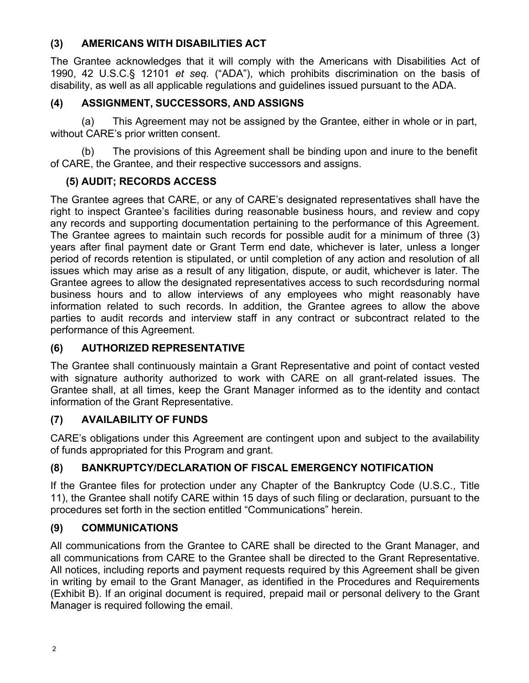### **(3) AMERICANS WITH DISABILITIES ACT**

The Grantee acknowledges that it will comply with the Americans with Disabilities Act of 1990, 42 U.S.C.§ 12101 *et seq.* ("ADA"), which prohibits discrimination on the basis of disability, as well as all applicable regulations and guidelines issued pursuant to the ADA.

# **(4) ASSIGNMENT, SUCCESSORS, AND ASSIGNS**

(a) This Agreement may not be assigned by the Grantee, either in whole or in part, without CARE's prior written consent.

(b) The provisions of this Agreement shall be binding upon and inure to the benefit of CARE, the Grantee, and their respective successors and assigns.

# **(5) AUDIT; RECORDS ACCESS**

The Grantee agrees that CARE, or any of CARE's designated representatives shall have the right to inspect Grantee's facilities during reasonable business hours, and review and copy any records and supporting documentation pertaining to the performance of this Agreement. The Grantee agrees to maintain such records for possible audit for a minimum of three (3) years after final payment date or Grant Term end date, whichever is later, unless a longer period of records retention is stipulated, or until completion of any action and resolution of all issues which may arise as a result of any litigation, dispute, or audit, whichever is later. The Grantee agrees to allow the designated representatives access to such recordsduring normal business hours and to allow interviews of any employees who might reasonably have information related to such records. In addition, the Grantee agrees to allow the above parties to audit records and interview staff in any contract or subcontract related to the performance of this Agreement.

# **(6) AUTHORIZED REPRESENTATIVE**

The Grantee shall continuously maintain a Grant Representative and point of contact vested with signature authority authorized to work with CARE on all grant-related issues. The Grantee shall, at all times, keep the Grant Manager informed as to the identity and contact information of the Grant Representative.

# **(7) AVAILABILITY OF FUNDS**

CARE's obligations under this Agreement are contingent upon and subject to the availability of funds appropriated for this Program and grant.

# **(8) BANKRUPTCY/DECLARATION OF FISCAL EMERGENCY NOTIFICATION**

If the Grantee files for protection under any Chapter of the Bankruptcy Code (U.S.C., Title 11), the Grantee shall notify CARE within 15 days of such filing or declaration, pursuant to the procedures set forth in the section entitled "Communications" herein.

# **(9) COMMUNICATIONS**

All communications from the Grantee to CARE shall be directed to the Grant Manager, and all communications from CARE to the Grantee shall be directed to the Grant Representative. All notices, including reports and payment requests required by this Agreement shall be given in writing by email to the Grant Manager, as identified in the Procedures and Requirements (Exhibit B). If an original document is required, prepaid mail or personal delivery to the Grant Manager is required following the email.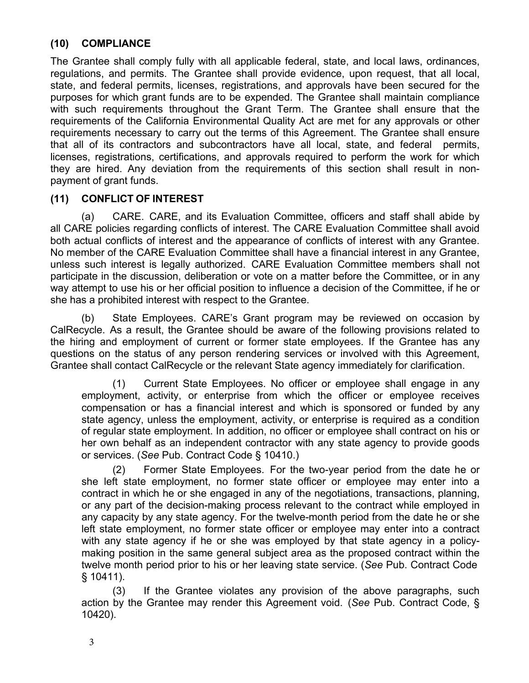#### **(10) COMPLIANCE**

The Grantee shall comply fully with all applicable federal, state, and local laws, ordinances, regulations, and permits. The Grantee shall provide evidence, upon request, that all local, state, and federal permits, licenses, registrations, and approvals have been secured for the purposes for which grant funds are to be expended. The Grantee shall maintain compliance with such requirements throughout the Grant Term. The Grantee shall ensure that the requirements of the California Environmental Quality Act are met for any approvals or other requirements necessary to carry out the terms of this Agreement. The Grantee shall ensure that all of its contractors and subcontractors have all local, state, and federal permits, licenses, registrations, certifications, and approvals required to perform the work for which they are hired. Any deviation from the requirements of this section shall result in nonpayment of grant funds.

### **(11) CONFLICT OF INTEREST**

(a) CARE. CARE, and its Evaluation Committee, officers and staff shall abide by all CARE policies regarding conflicts of interest. The CARE Evaluation Committee shall avoid both actual conflicts of interest and the appearance of conflicts of interest with any Grantee. No member of the CARE Evaluation Committee shall have a financial interest in any Grantee, unless such interest is legally authorized. CARE Evaluation Committee members shall not participate in the discussion, deliberation or vote on a matter before the Committee, or in any way attempt to use his or her official position to influence a decision of the Committee, if he or she has a prohibited interest with respect to the Grantee.

(b) State Employees. CARE's Grant program may be reviewed on occasion by CalRecycle. As a result, the Grantee should be aware of the following provisions related to the hiring and employment of current or former state employees. If the Grantee has any questions on the status of any person rendering services or involved with this Agreement, Grantee shall contact CalRecycle or the relevant State agency immediately for clarification.

(1) Current State Employees. No officer or employee shall engage in any employment, activity, or enterprise from which the officer or employee receives compensation or has a financial interest and which is sponsored or funded by any state agency, unless the employment, activity, or enterprise is required as a condition of regular state employment. In addition, no officer or employee shall contract on his or her own behalf as an independent contractor with any state agency to provide goods or services. (*See* Pub. Contract Code § 10410.)

(2) Former State Employees. For the two-year period from the date he or she left state employment, no former state officer or employee may enter into a contract in which he or she engaged in any of the negotiations, transactions, planning, or any part of the decision-making process relevant to the contract while employed in any capacity by any state agency. For the twelve-month period from the date he or she left state employment, no former state officer or employee may enter into a contract with any state agency if he or she was employed by that state agency in a policymaking position in the same general subject area as the proposed contract within the twelve month period prior to his or her leaving state service. (*See* Pub. Contract Code § 10411).

(3) If the Grantee violates any provision of the above paragraphs, such action by the Grantee may render this Agreement void. (*See* Pub. Contract Code, § 10420).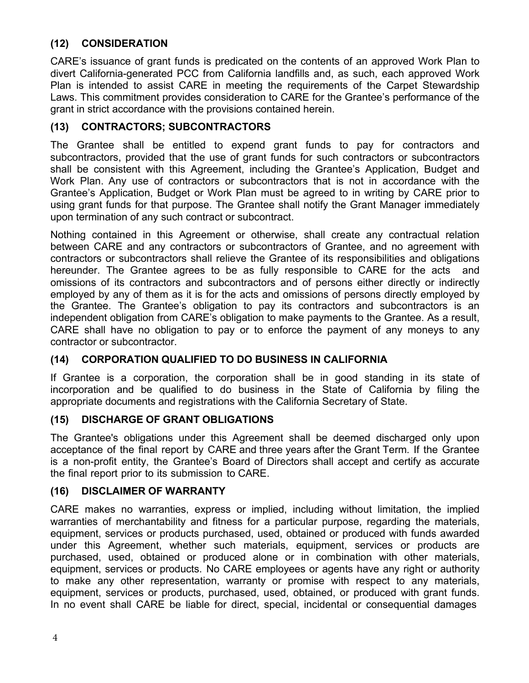### **(12) CONSIDERATION**

CARE's issuance of grant funds is predicated on the contents of an approved Work Plan to divert California-generated PCC from California landfills and, as such, each approved Work Plan is intended to assist CARE in meeting the requirements of the Carpet Stewardship Laws. This commitment provides consideration to CARE for the Grantee's performance of the grant in strict accordance with the provisions contained herein.

#### **(13) CONTRACTORS; SUBCONTRACTORS**

The Grantee shall be entitled to expend grant funds to pay for contractors and subcontractors, provided that the use of grant funds for such contractors or subcontractors shall be consistent with this Agreement, including the Grantee's Application, Budget and Work Plan. Any use of contractors or subcontractors that is not in accordance with the Grantee's Application, Budget or Work Plan must be agreed to in writing by CARE prior to using grant funds for that purpose. The Grantee shall notify the Grant Manager immediately upon termination of any such contract or subcontract.

Nothing contained in this Agreement or otherwise, shall create any contractual relation between CARE and any contractors or subcontractors of Grantee, and no agreement with contractors or subcontractors shall relieve the Grantee of its responsibilities and obligations hereunder. The Grantee agrees to be as fully responsible to CARE for the acts and omissions of its contractors and subcontractors and of persons either directly or indirectly employed by any of them as it is for the acts and omissions of persons directly employed by the Grantee. The Grantee's obligation to pay its contractors and subcontractors is an independent obligation from CARE's obligation to make payments to the Grantee. As a result, CARE shall have no obligation to pay or to enforce the payment of any moneys to any contractor or subcontractor.

#### **(14) CORPORATION QUALIFIED TO DO BUSINESS IN CALIFORNIA**

If Grantee is a corporation, the corporation shall be in good standing in its state of incorporation and be qualified to do business in the State of California by filing the appropriate documents and registrations with the California Secretary of State.

#### **(15) DISCHARGE OF GRANT OBLIGATIONS**

The Grantee's obligations under this Agreement shall be deemed discharged only upon acceptance of the final report by CARE and three years after the Grant Term. If the Grantee is a non-profit entity, the Grantee's Board of Directors shall accept and certify as accurate the final report prior to its submission to CARE.

#### **(16) DISCLAIMER OF WARRANTY**

CARE makes no warranties, express or implied, including without limitation, the implied warranties of merchantability and fitness for a particular purpose, regarding the materials, equipment, services or products purchased, used, obtained or produced with funds awarded under this Agreement, whether such materials, equipment, services or products are purchased, used, obtained or produced alone or in combination with other materials, equipment, services or products. No CARE employees or agents have any right or authority to make any other representation, warranty or promise with respect to any materials, equipment, services or products, purchased, used, obtained, or produced with grant funds. In no event shall CARE be liable for direct, special, incidental or consequential damages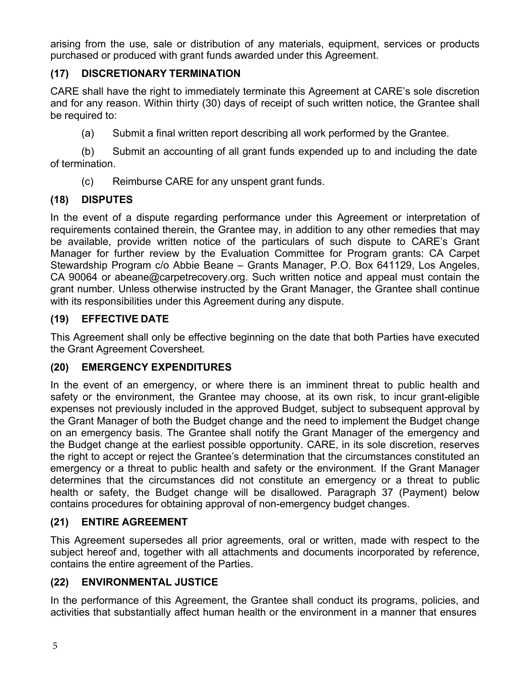arising from the use, sale or distribution of any materials, equipment, services or products purchased or produced with grant funds awarded under this Agreement.

# **(17) DISCRETIONARY TERMINATION**

CARE shall have the right to immediately terminate this Agreement at CARE's sole discretion and for any reason. Within thirty (30) days of receipt of such written notice, the Grantee shall be required to:

(a) Submit a final written report describing all work performed by the Grantee.

(b) Submit an accounting of all grant funds expended up to and including the date of termination.

(c) Reimburse CARE for any unspent grant funds.

# **(18) DISPUTES**

In the event of a dispute regarding performance under this Agreement or interpretation of requirements contained therein, the Grantee may, in addition to any other remedies that may be available, provide written notice of the particulars of such dispute to CARE's Grant Manager for further review by the Evaluation Committee for Program grants: CA Carpet Stewardship Program c/o Abbie Beane – Grants Manager, P.O. Box 641129, Los Angeles, CA 90064 or abeane@carpetrecovery.org. Such written notice and appeal must contain the grant number. Unless otherwise instructed by the Grant Manager, the Grantee shall continue with its responsibilities under this Agreement during any dispute.

# **(19) EFFECTIVE DATE**

This Agreement shall only be effective beginning on the date that both Parties have executed the Grant Agreement Coversheet.

#### **(20) EMERGENCY EXPENDITURES**

In the event of an emergency, or where there is an imminent threat to public health and safety or the environment, the Grantee may choose, at its own risk, to incur grant-eligible expenses not previously included in the approved Budget, subject to subsequent approval by the Grant Manager of both the Budget change and the need to implement the Budget change on an emergency basis. The Grantee shall notify the Grant Manager of the emergency and the Budget change at the earliest possible opportunity. CARE, in its sole discretion, reserves the right to accept or reject the Grantee's determination that the circumstances constituted an emergency or a threat to public health and safety or the environment. If the Grant Manager determines that the circumstances did not constitute an emergency or a threat to public health or safety, the Budget change will be disallowed. Paragraph 37 (Payment) below contains procedures for obtaining approval of non-emergency budget changes.

# **(21) ENTIRE AGREEMENT**

This Agreement supersedes all prior agreements, oral or written, made with respect to the subject hereof and, together with all attachments and documents incorporated by reference, contains the entire agreement of the Parties.

# **(22) ENVIRONMENTAL JUSTICE**

In the performance of this Agreement, the Grantee shall conduct its programs, policies, and activities that substantially affect human health or the environment in a manner that ensures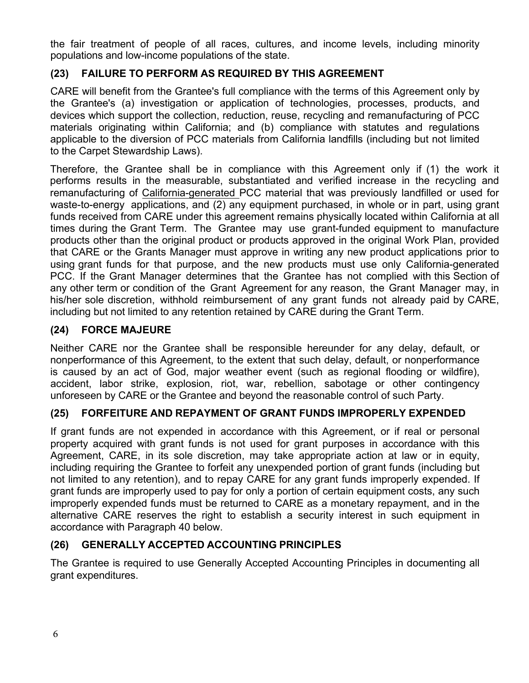the fair treatment of people of all races, cultures, and income levels, including minority populations and low-income populations of the state.

# **(23) FAILURE TO PERFORM AS REQUIRED BY THIS AGREEMENT**

CARE will benefit from the Grantee's full compliance with the terms of this Agreement only by the Grantee's (a) investigation or application of technologies, processes, products, and devices which support the collection, reduction, reuse, recycling and remanufacturing of PCC materials originating within California; and (b) compliance with statutes and regulations applicable to the diversion of PCC materials from California landfills (including but not limited to the Carpet Stewardship Laws).

Therefore, the Grantee shall be in compliance with this Agreement only if (1) the work it performs results in the measurable, substantiated and verified increase in the recycling and remanufacturing of California-generated PCC material that was previously landfilled or used for waste-to-energy applications, and (2) any equipment purchased, in whole or in part, using grant funds received from CARE under this agreement remains physically located within California at all times during the Grant Term. The Grantee may use grant-funded equipment to manufacture products other than the original product or products approved in the original Work Plan, provided that CARE or the Grants Manager must approve in writing any new product applications prior to using grant funds for that purpose, and the new products must use only California-generated PCC. If the Grant Manager determines that the Grantee has not complied with this Section of any other term or condition of the Grant Agreement for any reason, the Grant Manager may, in his/her sole discretion, withhold reimbursement of any grant funds not already paid by CARE, including but not limited to any retention retained by CARE during the Grant Term.

### **(24) FORCE MAJEURE**

Neither CARE nor the Grantee shall be responsible hereunder for any delay, default, or nonperformance of this Agreement, to the extent that such delay, default, or nonperformance is caused by an act of God, major weather event (such as regional flooding or wildfire), accident, labor strike, explosion, riot, war, rebellion, sabotage or other contingency unforeseen by CARE or the Grantee and beyond the reasonable control of such Party.

#### **(25) FORFEITURE AND REPAYMENT OF GRANT FUNDS IMPROPERLY EXPENDED**

If grant funds are not expended in accordance with this Agreement, or if real or personal property acquired with grant funds is not used for grant purposes in accordance with this Agreement, CARE, in its sole discretion, may take appropriate action at law or in equity. including requiring the Grantee to forfeit any unexpended portion of grant funds (including but not limited to any retention), and to repay CARE for any grant funds improperly expended. If grant funds are improperly used to pay for only a portion of certain equipment costs, any such improperly expended funds must be returned to CARE as a monetary repayment, and in the alternative CARE reserves the right to establish a security interest in such equipment in accordance with Paragraph 40 below.

# **(26) GENERALLY ACCEPTED ACCOUNTING PRINCIPLES**

The Grantee is required to use Generally Accepted Accounting Principles in documenting all grant expenditures.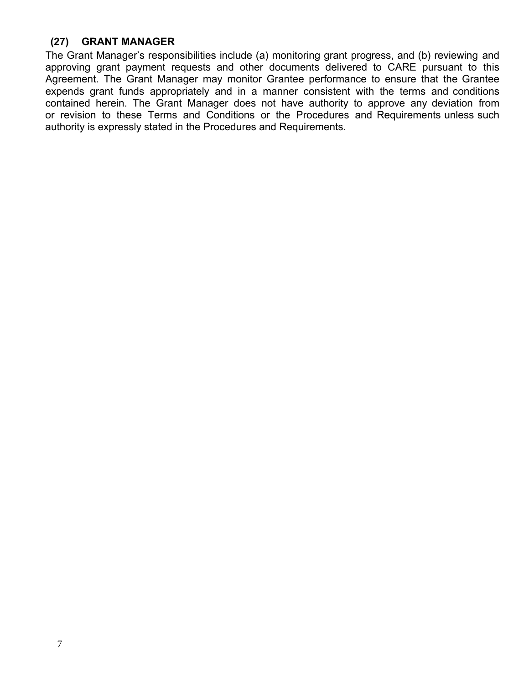#### **(27) GRANT MANAGER**

The Grant Manager's responsibilities include (a) monitoring grant progress, and (b) reviewing and approving grant payment requests and other documents delivered to CARE pursuant to this Agreement. The Grant Manager may monitor Grantee performance to ensure that the Grantee expends grant funds appropriately and in a manner consistent with the terms and conditions contained herein. The Grant Manager does not have authority to approve any deviation from or revision to these Terms and Conditions or the Procedures and Requirements unless such authority is expressly stated in the Procedures and Requirements.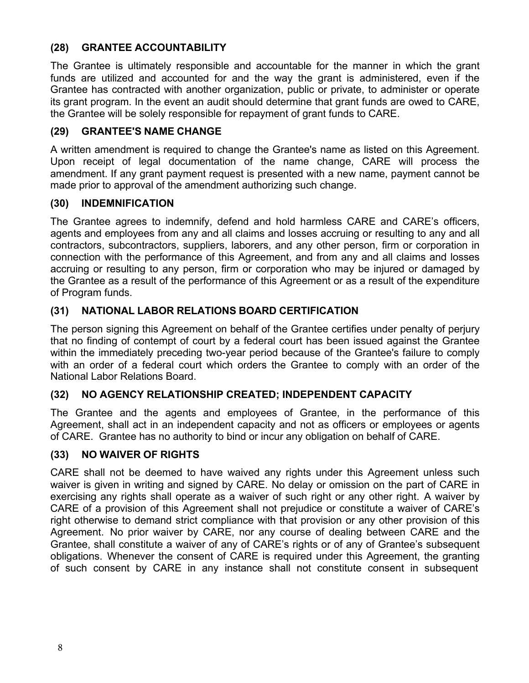### **(28) GRANTEE ACCOUNTABILITY**

The Grantee is ultimately responsible and accountable for the manner in which the grant funds are utilized and accounted for and the way the grant is administered, even if the Grantee has contracted with another organization, public or private, to administer or operate its grant program. In the event an audit should determine that grant funds are owed to CARE, the Grantee will be solely responsible for repayment of grant funds to CARE.

#### **(29) GRANTEE'S NAME CHANGE**

A written amendment is required to change the Grantee's name as listed on this Agreement. Upon receipt of legal documentation of the name change, CARE will process the amendment. If any grant payment request is presented with a new name, payment cannot be made prior to approval of the amendment authorizing such change.

#### **(30) INDEMNIFICATION**

The Grantee agrees to indemnify, defend and hold harmless CARE and CARE's officers, agents and employees from any and all claims and losses accruing or resulting to any and all contractors, subcontractors, suppliers, laborers, and any other person, firm or corporation in connection with the performance of this Agreement, and from any and all claims and losses accruing or resulting to any person, firm or corporation who may be injured or damaged by the Grantee as a result of the performance of this Agreement or as a result of the expenditure of Program funds.

# **(31) NATIONAL LABOR RELATIONS BOARD CERTIFICATION**

The person signing this Agreement on behalf of the Grantee certifies under penalty of perjury that no finding of contempt of court by a federal court has been issued against the Grantee within the immediately preceding two-year period because of the Grantee's failure to comply with an order of a federal court which orders the Grantee to comply with an order of the National Labor Relations Board.

# **(32) NO AGENCY RELATIONSHIP CREATED; INDEPENDENT CAPACITY**

The Grantee and the agents and employees of Grantee, in the performance of this Agreement, shall act in an independent capacity and not as officers or employees or agents of CARE. Grantee has no authority to bind or incur any obligation on behalf of CARE.

#### **(33) NO WAIVER OF RIGHTS**

CARE shall not be deemed to have waived any rights under this Agreement unless such waiver is given in writing and signed by CARE. No delay or omission on the part of CARE in exercising any rights shall operate as a waiver of such right or any other right. A waiver by CARE of a provision of this Agreement shall not prejudice or constitute a waiver of CARE's right otherwise to demand strict compliance with that provision or any other provision of this Agreement. No prior waiver by CARE, nor any course of dealing between CARE and the Grantee, shall constitute a waiver of any of CARE's rights or of any of Grantee's subsequent obligations. Whenever the consent of CARE is required under this Agreement, the granting of such consent by CARE in any instance shall not constitute consent in subsequent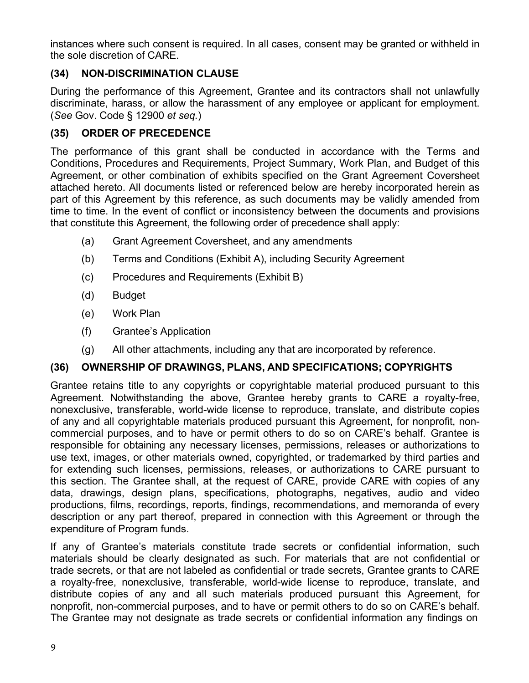instances where such consent is required. In all cases, consent may be granted or withheld in the sole discretion of CARE.

# **(34) NON-DISCRIMINATION CLAUSE**

During the performance of this Agreement, Grantee and its contractors shall not unlawfully discriminate, harass, or allow the harassment of any employee or applicant for employment. (*See* Gov. Code § 12900 *et seq.*)

### **(35) ORDER OF PRECEDENCE**

The performance of this grant shall be conducted in accordance with the Terms and Conditions, Procedures and Requirements, Project Summary, Work Plan, and Budget of this Agreement, or other combination of exhibits specified on the Grant Agreement Coversheet attached hereto. All documents listed or referenced below are hereby incorporated herein as part of this Agreement by this reference, as such documents may be validly amended from time to time. In the event of conflict or inconsistency between the documents and provisions that constitute this Agreement, the following order of precedence shall apply:

- (a) Grant Agreement Coversheet, and any amendments
- (b) Terms and Conditions (Exhibit A), including Security Agreement
- (c) Procedures and Requirements (Exhibit B)
- (d) Budget
- (e) Work Plan
- (f) Grantee's Application
- (g) All other attachments, including any that are incorporated by reference.

#### **(36) OWNERSHIP OF DRAWINGS, PLANS, AND SPECIFICATIONS; COPYRIGHTS**

Grantee retains title to any copyrights or copyrightable material produced pursuant to this Agreement. Notwithstanding the above, Grantee hereby grants to CARE a royalty-free, nonexclusive, transferable, world-wide license to reproduce, translate, and distribute copies of any and all copyrightable materials produced pursuant this Agreement, for nonprofit, noncommercial purposes, and to have or permit others to do so on CARE's behalf. Grantee is responsible for obtaining any necessary licenses, permissions, releases or authorizations to use text, images, or other materials owned, copyrighted, or trademarked by third parties and for extending such licenses, permissions, releases, or authorizations to CARE pursuant to this section. The Grantee shall, at the request of CARE, provide CARE with copies of any data, drawings, design plans, specifications, photographs, negatives, audio and video productions, films, recordings, reports, findings, recommendations, and memoranda of every description or any part thereof, prepared in connection with this Agreement or through the expenditure of Program funds.

If any of Grantee's materials constitute trade secrets or confidential information, such materials should be clearly designated as such. For materials that are not confidential or trade secrets, or that are not labeled as confidential or trade secrets, Grantee grants to CARE a royalty-free, nonexclusive, transferable, world-wide license to reproduce, translate, and distribute copies of any and all such materials produced pursuant this Agreement, for nonprofit, non-commercial purposes, and to have or permit others to do so on CARE's behalf. The Grantee may not designate as trade secrets or confidential information any findings on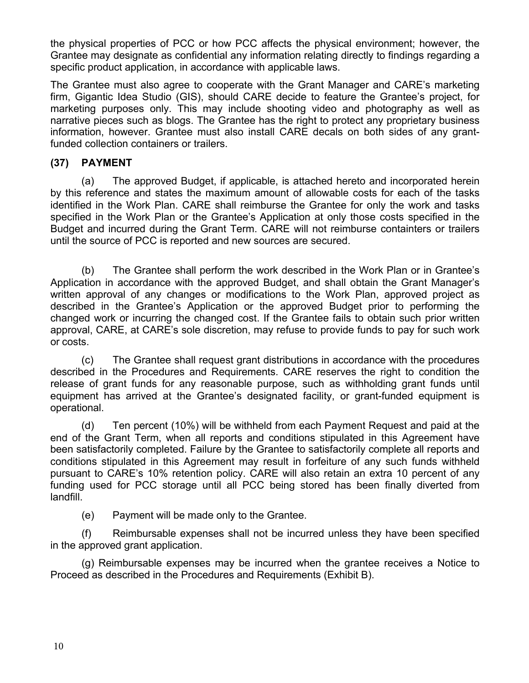the physical properties of PCC or how PCC affects the physical environment; however, the Grantee may designate as confidential any information relating directly to findings regarding a specific product application, in accordance with applicable laws.

The Grantee must also agree to cooperate with the Grant Manager and CARE's marketing firm, Gigantic Idea Studio (GIS), should CARE decide to feature the Grantee's project, for marketing purposes only. This may include shooting video and photography as well as narrative pieces such as blogs. The Grantee has the right to protect any proprietary business information, however. Grantee must also install CARE decals on both sides of any grantfunded collection containers or trailers.

### **(37) PAYMENT**

(a) The approved Budget, if applicable, is attached hereto and incorporated herein by this reference and states the maximum amount of allowable costs for each of the tasks identified in the Work Plan. CARE shall reimburse the Grantee for only the work and tasks specified in the Work Plan or the Grantee's Application at only those costs specified in the Budget and incurred during the Grant Term. CARE will not reimburse containters or trailers until the source of PCC is reported and new sources are secured.

(b) The Grantee shall perform the work described in the Work Plan or in Grantee's Application in accordance with the approved Budget, and shall obtain the Grant Manager's written approval of any changes or modifications to the Work Plan, approved project as described in the Grantee's Application or the approved Budget prior to performing the changed work or incurring the changed cost. If the Grantee fails to obtain such prior written approval, CARE, at CARE's sole discretion, may refuse to provide funds to pay for such work or costs.

(c) The Grantee shall request grant distributions in accordance with the procedures described in the Procedures and Requirements. CARE reserves the right to condition the release of grant funds for any reasonable purpose, such as withholding grant funds until equipment has arrived at the Grantee's designated facility, or grant-funded equipment is operational.

(d) Ten percent (10%) will be withheld from each Payment Request and paid at the end of the Grant Term, when all reports and conditions stipulated in this Agreement have been satisfactorily completed. Failure by the Grantee to satisfactorily complete all reports and conditions stipulated in this Agreement may result in forfeiture of any such funds withheld pursuant to CARE's 10% retention policy. CARE will also retain an extra 10 percent of any funding used for PCC storage until all PCC being stored has been finally diverted from landfill.

(e) Payment will be made only to the Grantee.

(f) Reimbursable expenses shall not be incurred unless they have been specified in the approved grant application.

(g) Reimbursable expenses may be incurred when the grantee receives a Notice to Proceed as described in the Procedures and Requirements (Exhibit B).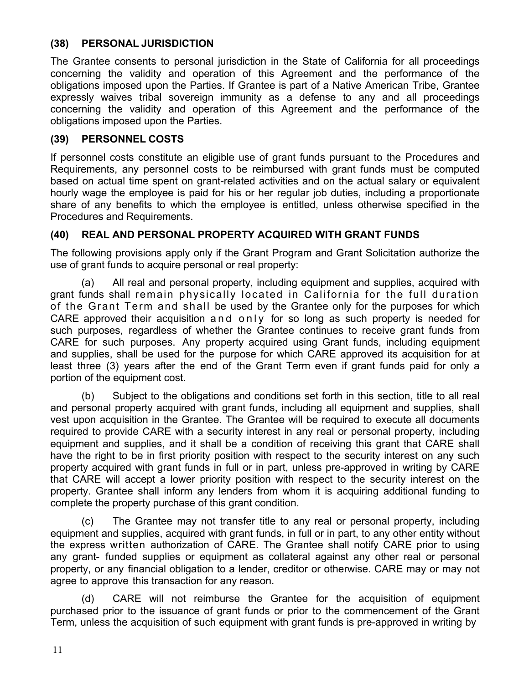#### **(38) PERSONAL JURISDICTION**

The Grantee consents to personal jurisdiction in the State of California for all proceedings concerning the validity and operation of this Agreement and the performance of the obligations imposed upon the Parties. If Grantee is part of a Native American Tribe, Grantee expressly waives tribal sovereign immunity as a defense to any and all proceedings concerning the validity and operation of this Agreement and the performance of the obligations imposed upon the Parties.

#### **(39) PERSONNEL COSTS**

If personnel costs constitute an eligible use of grant funds pursuant to the Procedures and Requirements, any personnel costs to be reimbursed with grant funds must be computed based on actual time spent on grant-related activities and on the actual salary or equivalent hourly wage the employee is paid for his or her regular job duties, including a proportionate share of any benefits to which the employee is entitled, unless otherwise specified in the Procedures and Requirements.

#### **(40) REAL AND PERSONAL PROPERTY ACQUIRED WITH GRANT FUNDS**

The following provisions apply only if the Grant Program and Grant Solicitation authorize the use of grant funds to acquire personal or real property:

(a) All real and personal property, including equipment and supplies, acquired with grant funds shall remain physically located in California for the full duration of the Grant Term and shall be used by the Grantee only for the purposes for which CARE approved their acquisition and only for so long as such property is needed for such purposes, regardless of whether the Grantee continues to receive grant funds from CARE for such purposes. Any property acquired using Grant funds, including equipment and supplies, shall be used for the purpose for which CARE approved its acquisition for at least three (3) years after the end of the Grant Term even if grant funds paid for only a portion of the equipment cost.

(b) Subject to the obligations and conditions set forth in this section, title to all real and personal property acquired with grant funds, including all equipment and supplies, shall vest upon acquisition in the Grantee. The Grantee will be required to execute all documents required to provide CARE with a security interest in any real or personal property, including equipment and supplies, and it shall be a condition of receiving this grant that CARE shall have the right to be in first priority position with respect to the security interest on any such property acquired with grant funds in full or in part, unless pre-approved in writing by CARE that CARE will accept a lower priority position with respect to the security interest on the property. Grantee shall inform any lenders from whom it is acquiring additional funding to complete the property purchase of this grant condition.

(c) The Grantee may not transfer title to any real or personal property, including equipment and supplies, acquired with grant funds, in full or in part, to any other entity without the express written authorization of CARE. The Grantee shall notify CARE prior to using any grant- funded supplies or equipment as collateral against any other real or personal property, or any financial obligation to a lender, creditor or otherwise. CARE may or may not agree to approve this transaction for any reason.

(d) CARE will not reimburse the Grantee for the acquisition of equipment purchased prior to the issuance of grant funds or prior to the commencement of the Grant Term, unless the acquisition of such equipment with grant funds is pre-approved in writing by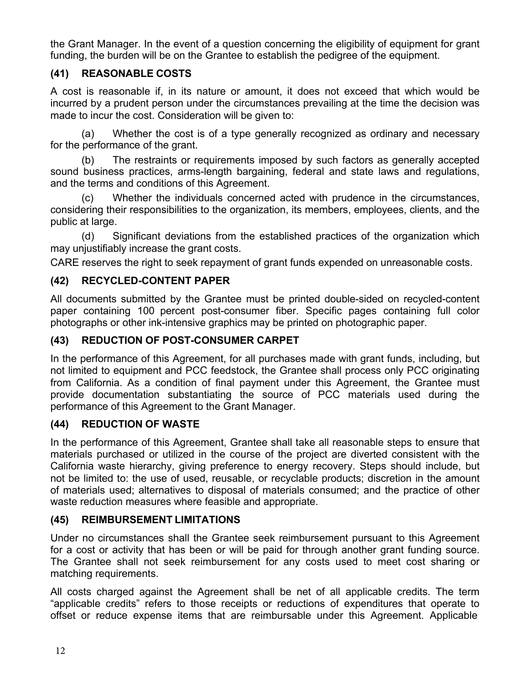the Grant Manager. In the event of a question concerning the eligibility of equipment for grant funding, the burden will be on the Grantee to establish the pedigree of the equipment.

# **(41) REASONABLE COSTS**

A cost is reasonable if, in its nature or amount, it does not exceed that which would be incurred by a prudent person under the circumstances prevailing at the time the decision was made to incur the cost. Consideration will be given to:

(a) Whether the cost is of a type generally recognized as ordinary and necessary for the performance of the grant.

(b) The restraints or requirements imposed by such factors as generally accepted sound business practices, arms-length bargaining, federal and state laws and regulations, and the terms and conditions of this Agreement.

Whether the individuals concerned acted with prudence in the circumstances, considering their responsibilities to the organization, its members, employees, clients, and the public at large.

(d) Significant deviations from the established practices of the organization which may unjustifiably increase the grant costs.

CARE reserves the right to seek repayment of grant funds expended on unreasonable costs.

### **(42) RECYCLED-CONTENT PAPER**

All documents submitted by the Grantee must be printed double-sided on recycled-content paper containing 100 percent post-consumer fiber. Specific pages containing full color photographs or other ink-intensive graphics may be printed on photographic paper.

### **(43) REDUCTION OF POST-CONSUMER CARPET**

In the performance of this Agreement, for all purchases made with grant funds, including, but not limited to equipment and PCC feedstock, the Grantee shall process only PCC originating from California. As a condition of final payment under this Agreement, the Grantee must provide documentation substantiating the source of PCC materials used during the performance of this Agreement to the Grant Manager.

#### **(44) REDUCTION OF WASTE**

In the performance of this Agreement, Grantee shall take all reasonable steps to ensure that materials purchased or utilized in the course of the project are diverted consistent with the California waste hierarchy, giving preference to energy recovery. Steps should include, but not be limited to: the use of used, reusable, or recyclable products; discretion in the amount of materials used; alternatives to disposal of materials consumed; and the practice of other waste reduction measures where feasible and appropriate.

# **(45) REIMBURSEMENT LIMITATIONS**

Under no circumstances shall the Grantee seek reimbursement pursuant to this Agreement for a cost or activity that has been or will be paid for through another grant funding source. The Grantee shall not seek reimbursement for any costs used to meet cost sharing or matching requirements.

All costs charged against the Agreement shall be net of all applicable credits. The term "applicable credits" refers to those receipts or reductions of expenditures that operate to offset or reduce expense items that are reimbursable under this Agreement. Applicable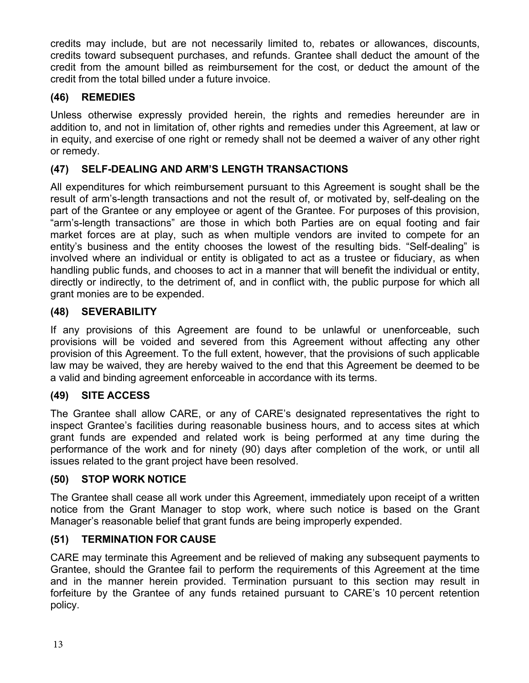credits may include, but are not necessarily limited to, rebates or allowances, discounts, credits toward subsequent purchases, and refunds. Grantee shall deduct the amount of the credit from the amount billed as reimbursement for the cost, or deduct the amount of the credit from the total billed under a future invoice.

# **(46) REMEDIES**

Unless otherwise expressly provided herein, the rights and remedies hereunder are in addition to, and not in limitation of, other rights and remedies under this Agreement, at law or in equity, and exercise of one right or remedy shall not be deemed a waiver of any other right or remedy.

# **(47) SELF-DEALING AND ARM'S LENGTH TRANSACTIONS**

All expenditures for which reimbursement pursuant to this Agreement is sought shall be the result of arm's-length transactions and not the result of, or motivated by, self-dealing on the part of the Grantee or any employee or agent of the Grantee. For purposes of this provision, "arm's-length transactions" are those in which both Parties are on equal footing and fair market forces are at play, such as when multiple vendors are invited to compete for an entity's business and the entity chooses the lowest of the resulting bids. "Self-dealing" is involved where an individual or entity is obligated to act as a trustee or fiduciary, as when handling public funds, and chooses to act in a manner that will benefit the individual or entity, directly or indirectly, to the detriment of, and in conflict with, the public purpose for which all grant monies are to be expended.

# **(48) SEVERABILITY**

If any provisions of this Agreement are found to be unlawful or unenforceable, such provisions will be voided and severed from this Agreement without affecting any other provision of this Agreement. To the full extent, however, that the provisions of such applicable law may be waived, they are hereby waived to the end that this Agreement be deemed to be a valid and binding agreement enforceable in accordance with its terms.

# **(49) SITE ACCESS**

The Grantee shall allow CARE, or any of CARE's designated representatives the right to inspect Grantee's facilities during reasonable business hours, and to access sites at which grant funds are expended and related work is being performed at any time during the performance of the work and for ninety (90) days after completion of the work, or until all issues related to the grant project have been resolved.

#### **(50) STOP WORK NOTICE**

The Grantee shall cease all work under this Agreement, immediately upon receipt of a written notice from the Grant Manager to stop work, where such notice is based on the Grant Manager's reasonable belief that grant funds are being improperly expended.

#### **(51) TERMINATION FOR CAUSE**

CARE may terminate this Agreement and be relieved of making any subsequent payments to Grantee, should the Grantee fail to perform the requirements of this Agreement at the time and in the manner herein provided. Termination pursuant to this section may result in forfeiture by the Grantee of any funds retained pursuant to CARE's 10 percent retention policy.